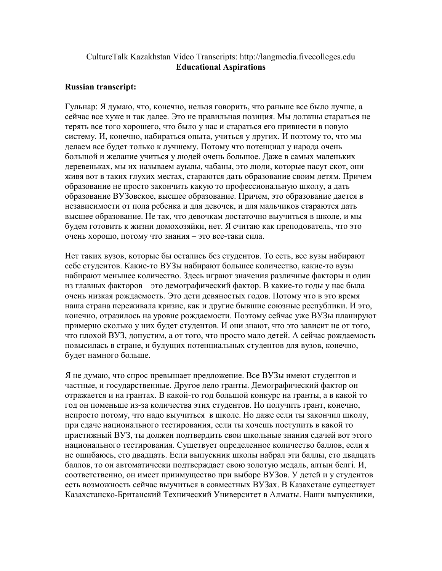## CultureTalk Kazakhstan Video Transcripts: http://langmedia.fivecolleges.edu Educational Aspirations

## Russian transcript:

Гульнар: Я думаю, что, конечно, нельзя говорить, что раньше все было лучше, а сейчас все хуже и так далее. Это не правильная позиция. Мы должны стараться не терять все того хорошего, что было у нас и стараться его привнести в новую систему. И, конечно, набираться опыта, учиться у других. И поэтому то, что мы делаем все будет только к лучшему. Потому что потенциал у народа очень большой и желание учиться у людей очень большое. Даже в самых маленьких деревеньках, мы их называем ауылы, чабаны, это люди, которые пасут скот, они живя вот в таких глухих местах, стараются дать образование своим детям. Причем образование не просто закончить какую то профессиональную школу, а дать образование ВУЗовское, высшее образование. Причем, это образование дается в независимости от пола ребенка и для девочек, и для мальчиков стараются дать высшее образование. Не так, что девочкам достаточно выучиться в школе, и мы будем готовить к жизни домохозяйки, нет. Я считаю как преподователь, что это очень хорошо, потому что знания – это все-таки сила.

Нет таких вузов, которые бы остались без студентов. То есть, все вузы набирают себе студентов. Какие-то ВУЗы набирают большее количество, какие-то вузы набирают меньшее количество. Здесь играют значения различные факторы и один из главных факторов – это демографический фактор. В какие-то годы у нас была очень низкая рождаемость. Это дети девяностых годов. Потому что в это время наша страна переживала кризис, как и другие бывшие союзные республики. И это, конечно, отразилось на уровне рождаемости. Поэтому сейчас уже ВУЗы планируют примерно сколько у них будет студентов. И они знают, что это зависит не от того, что плохой ВУЗ, допустим, а от того, что просто мало детей. А сейчас рождаемость повысилась в стране, и будущих потенциальных студентов для вузов, конечно, будет намного больше.

Я не думаю, что спрос превышает предложение. Все ВУЗы имеют студентов и частные, и государственные. Другое дело гранты. Демографический фактор он отражается и на грантах. В какой-то год большой конкурс на гранты, а в какой то год он поменьше из-за количества этих студентов. Но получить грант, конечно, непросто потому, что надо выучиться в школе. Но даже если ты закончил школу, при сдаче национального тестирования, если ты хочешь поступить в какой то пристижный ВУЗ, ты должен подтвердить свои школьные знания сдачей вот этого национального тестирования. Сущетвует определенное количество баллов, если я не ошибаюсь, сто двадцать. Если выпускник школы набрал эти баллы, сто двадцать баллов, то он автоматически подтверждает свою золотую медаль, алтын белгі. И, соответственно, он имеет приимущество при выборе ВУЗов. У детей и у студентов есть возможность сейчас выучиться в совместных ВУЗах. В Казахстане существует Казахстанско-Британский Технический Университет в Алматы. Наши выпускники,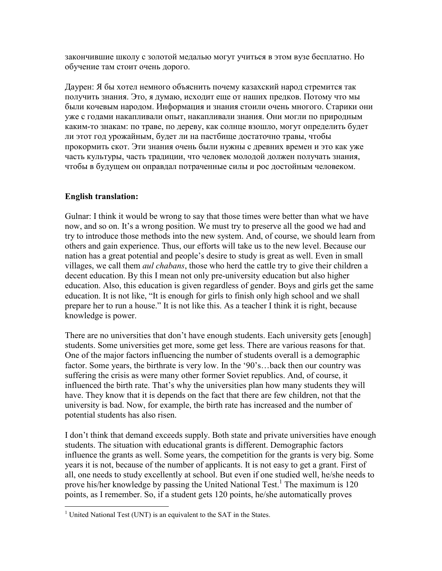закончившие школу с золотой медалью могут учиться в этом вузе бесплатно. Но обучение там стоит очень дорого.

Даурен: Я бы хотел немного объяснить почему казахский народ стремится так получить знания. Это, я думаю, исходит еще от наших предков. Потому что мы были кочевым народом. Информация и знания стоили очень многого. Старики они уже с годами накапливали опыт, накапливали знания. Они могли по природным каким-то знакам: по траве, по дереву, как солнце взошло, могут определить будет ли этот год урожайным, будет ли на пастбище достаточно травы, чтобы прокормить скот. Эти знания очень были нужны с древних времен и это как уже часть культуры, часть традиции, что человек молодой должен получать знания, чтобы в будущем он оправдал потраченные силы и рос достойным человеком.

## English translation:

Gulnar: I think it would be wrong to say that those times were better than what we have now, and so on. It's a wrong position. We must try to preserve all the good we had and try to introduce those methods into the new system. And, of course, we should learn from others and gain experience. Thus, our efforts will take us to the new level. Because our nation has a great potential and people's desire to study is great as well. Even in small villages, we call them *aul chabans*, those who herd the cattle try to give their children a decent education. By this I mean not only pre-university education but also higher education. Also, this education is given regardless of gender. Boys and girls get the same education. It is not like, "It is enough for girls to finish only high school and we shall prepare her to run a house." It is not like this. As a teacher I think it is right, because knowledge is power.

There are no universities that don't have enough students. Each university gets [enough] students. Some universities get more, some get less. There are various reasons for that. One of the major factors influencing the number of students overall is a demographic factor. Some years, the birthrate is very low. In the '90's…back then our country was suffering the crisis as were many other former Soviet republics. And, of course, it influenced the birth rate. That's why the universities plan how many students they will have. They know that it is depends on the fact that there are few children, not that the university is bad. Now, for example, the birth rate has increased and the number of potential students has also risen.

I don't think that demand exceeds supply. Both state and private universities have enough students. The situation with educational grants is different. Demographic factors influence the grants as well. Some years, the competition for the grants is very big. Some years it is not, because of the number of applicants. It is not easy to get a grant. First of all, one needs to study excellently at school. But even if one studied well, he/she needs to prove his/her knowledge by passing the United National Test.<sup>1</sup> The maximum is 120 points, as I remember. So, if a student gets 120 points, he/she automatically proves

<sup>&</sup>lt;sup>1</sup> United National Test (UNT) is an equivalent to the SAT in the States.